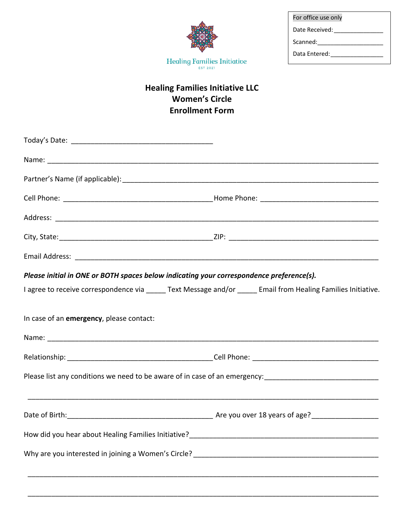| For office use only |
|---------------------|
| Date Received:      |
| Scanned:            |
| Data Entered:       |

## **Healing Families Initiative LLC Women's Circle Enrollment Form**

Healing Families Initiative  $\overline{\mathbb{F}}_{\mathbb{R}^{57,2021}}$ 

| Please initial in ONE or BOTH spaces below indicating your correspondence preference(s).                      |  |
|---------------------------------------------------------------------------------------------------------------|--|
| I agree to receive correspondence via _____ Text Message and/or _____ Email from Healing Families Initiative. |  |
| In case of an emergency, please contact:                                                                      |  |
|                                                                                                               |  |
|                                                                                                               |  |
| Please list any conditions we need to be aware of in case of an emergency: __________________________________ |  |
|                                                                                                               |  |
|                                                                                                               |  |
|                                                                                                               |  |
|                                                                                                               |  |
|                                                                                                               |  |

\_\_\_\_\_\_\_\_\_\_\_\_\_\_\_\_\_\_\_\_\_\_\_\_\_\_\_\_\_\_\_\_\_\_\_\_\_\_\_\_\_\_\_\_\_\_\_\_\_\_\_\_\_\_\_\_\_\_\_\_\_\_\_\_\_\_\_\_\_\_\_\_\_\_\_\_\_\_\_\_\_\_\_\_\_\_\_\_\_